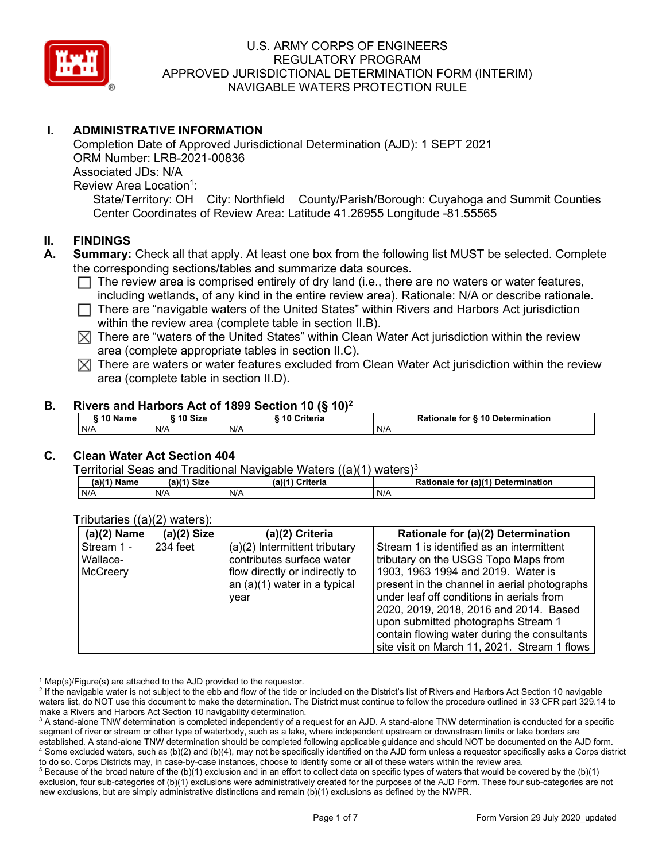

# **I. ADMINISTRATIVE INFORMATION**

Completion Date of Approved Jurisdictional Determination (AJD): 1 SEPT 2021 ORM Number: LRB-2021-00836 Associated JDs: N/A Review Area Location<sup>1</sup>: State/Territory: OH City: Northfield County/Parish/Borough: Cuyahoga and Summit Counties Center Coordinates of Review Area: Latitude 41.26955 Longitude -81.55565

### **II. FINDINGS**

- **A. Summary:** Check all that apply. At least one box from the following list MUST be selected. Complete the corresponding sections/tables and summarize data sources.
	- $\Box$  The review area is comprised entirely of dry land (i.e., there are no waters or water features, including wetlands, of any kind in the entire review area). Rationale: N/A or describe rationale.
	- $\Box$  There are "navigable waters of the United States" within Rivers and Harbors Act jurisdiction within the review area (complete table in section II.B).
	- $\boxtimes$  There are "waters of the United States" within Clean Water Act jurisdiction within the review area (complete appropriate tables in section II.C).
	- $\boxtimes$  There are waters or water features excluded from Clean Water Act jurisdiction within the review area (complete table in section II.D).

#### **B. Rivers and Harbors Act of 1899 Section 10 (§ 10)2**

| $^{\circ}$ 10 Name | ົ 10 Size | <b>Criteria</b><br>10 | Rationale for § 10 Determination |  |  |  |  |  |
|--------------------|-----------|-----------------------|----------------------------------|--|--|--|--|--|
| N/A                | N/A       | N/A                   | N/A                              |  |  |  |  |  |

## **C. Clean Water Act Section 404**

Territorial Seas and Traditional Navigable Waters  $((a)(1)$  waters)<sup>3</sup>

| (a)(1) <sup>⊾</sup><br>Name | $(a)$ $(4)$<br>Size | (a)(4)<br>Criteria<br>- | (a)(1)<br>Determination<br>Rationale<br>tor |
|-----------------------------|---------------------|-------------------------|---------------------------------------------|
| N/A                         | N/A                 | N/A                     | N/A                                         |

| $(a)(2)$ Name   | $(a)(2)$ Size                             | (a)(2) Criteria                | Rationale for (a)(2) Determination           |  |  |
|-----------------|-------------------------------------------|--------------------------------|----------------------------------------------|--|--|
| Stream 1 -      | 234 feet<br>(a)(2) Intermittent tributary |                                | Stream 1 is identified as an intermittent    |  |  |
| Wallace-        |                                           | contributes surface water      | tributary on the USGS Topo Maps from         |  |  |
| <b>McCreery</b> | flow directly or indirectly to            |                                | 1903, 1963 1994 and 2019. Water is           |  |  |
|                 |                                           | an $(a)(1)$ water in a typical | present in the channel in aerial photographs |  |  |
|                 |                                           | year                           | under leaf off conditions in aerials from    |  |  |
|                 |                                           |                                | 2020, 2019, 2018, 2016 and 2014. Based       |  |  |
|                 |                                           |                                | upon submitted photographs Stream 1          |  |  |
|                 |                                           |                                | contain flowing water during the consultants |  |  |
|                 |                                           |                                | site visit on March 11, 2021. Stream 1 flows |  |  |

#### Tributaries ((a)(2) waters):

 $1$  Map(s)/Figure(s) are attached to the AJD provided to the requestor.

<sup>2</sup> If the navigable water is not subject to the ebb and flow of the tide or included on the District's list of Rivers and Harbors Act Section 10 navigable waters list, do NOT use this document to make the determination. The District must continue to follow the procedure outlined in 33 CFR part 329.14 to make a Rivers and Harbors Act Section 10 navigability determination.

<sup>3</sup> A stand-alone TNW determination is completed independently of a request for an AJD. A stand-alone TNW determination is conducted for a specific segment of river or stream or other type of waterbody, such as a lake, where independent upstream or downstream limits or lake borders are established. A stand-alone TNW determination should be completed following applicable guidance and should NOT be documented on the AJD form. <sup>4</sup> Some excluded waters, such as (b)(2) and (b)(4), may not be specifically identified on the AJD form unless a requestor specifically asks a Corps district to do so. Corps Districts may, in case-by-case instances, choose to identify some or all of these waters within the review area.

 $5$  Because of the broad nature of the (b)(1) exclusion and in an effort to collect data on specific types of waters that would be covered by the (b)(1) exclusion, four sub-categories of (b)(1) exclusions were administratively created for the purposes of the AJD Form. These four sub-categories are not new exclusions, but are simply administrative distinctions and remain (b)(1) exclusions as defined by the NWPR.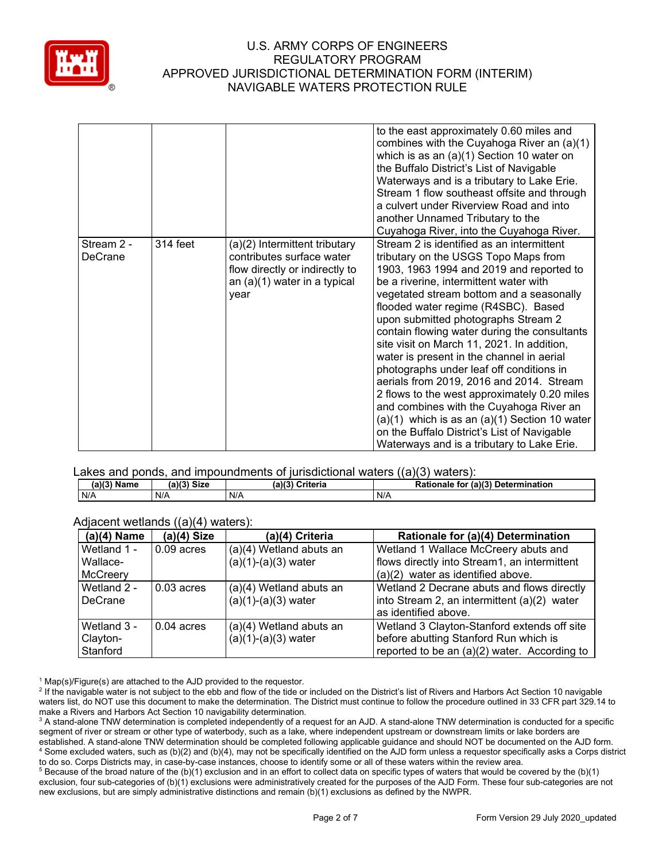

|                       |          |                                                                                                                                        | to the east approximately 0.60 miles and<br>combines with the Cuyahoga River an (a)(1)<br>which is as an $(a)(1)$ Section 10 water on<br>the Buffalo District's List of Navigable<br>Waterways and is a tributary to Lake Erie.<br>Stream 1 flow southeast offsite and through<br>a culvert under Riverview Road and into<br>another Unnamed Tributary to the<br>Cuyahoga River, into the Cuyahoga River.                                                                                                                                                                                                                                                                                                                                                                         |
|-----------------------|----------|----------------------------------------------------------------------------------------------------------------------------------------|-----------------------------------------------------------------------------------------------------------------------------------------------------------------------------------------------------------------------------------------------------------------------------------------------------------------------------------------------------------------------------------------------------------------------------------------------------------------------------------------------------------------------------------------------------------------------------------------------------------------------------------------------------------------------------------------------------------------------------------------------------------------------------------|
| Stream 2 -<br>DeCrane | 314 feet | (a)(2) Intermittent tributary<br>contributes surface water<br>flow directly or indirectly to<br>an $(a)(1)$ water in a typical<br>year | Stream 2 is identified as an intermittent<br>tributary on the USGS Topo Maps from<br>1903, 1963 1994 and 2019 and reported to<br>be a riverine, intermittent water with<br>vegetated stream bottom and a seasonally<br>flooded water regime (R4SBC). Based<br>upon submitted photographs Stream 2<br>contain flowing water during the consultants<br>site visit on March 11, 2021. In addition,<br>water is present in the channel in aerial<br>photographs under leaf off conditions in<br>aerials from 2019, 2016 and 2014. Stream<br>2 flows to the west approximately 0.20 miles<br>and combines with the Cuyahoga River an<br>$(a)(1)$ which is as an $(a)(1)$ Section 10 water<br>on the Buffalo District's List of Navigable<br>Waterways and is a tributary to Lake Erie. |

Lakes and ponds, and impoundments of jurisdictional waters ((a)(3) waters):

| (a)(3)<br><b>Name</b> | (a)(3)<br><b>Size</b> | (a)(3)<br>Criteria | (a)(3)<br><b>Determination</b><br>Rationale<br>for |
|-----------------------|-----------------------|--------------------|----------------------------------------------------|
| N/A                   | N/A                   | N/A                | N/A                                                |

Adiacent wetlands ((a)(4) waters):

|               | ,, ,, ,       |                         |                                              |  |  |  |
|---------------|---------------|-------------------------|----------------------------------------------|--|--|--|
| $(a)(4)$ Name | $(a)(4)$ Size | (a)(4) Criteria         | Rationale for (a)(4) Determination           |  |  |  |
| Wetland 1 -   | $0.09$ acres  | (a)(4) Wetland abuts an | Wetland 1 Wallace McCreery abuts and         |  |  |  |
| Wallace-      |               | $(a)(1)-(a)(3)$ water   | flows directly into Stream1, an intermittent |  |  |  |
| McCreery      |               |                         | (a)(2) water as identified above.            |  |  |  |
| Wetland 2 -   | $0.03$ acres  | (a)(4) Wetland abuts an | Wetland 2 Decrane abuts and flows directly   |  |  |  |
| DeCrane       |               | $(a)(1)-(a)(3)$ water   | into Stream 2, an intermittent (a)(2) water  |  |  |  |
|               |               |                         | as identified above.                         |  |  |  |
| Wetland 3 -   | $0.04$ acres  | (a)(4) Wetland abuts an | Wetland 3 Clayton-Stanford extends off site  |  |  |  |
| Clayton-      |               | $(a)(1)-(a)(3)$ water   | before abutting Stanford Run which is        |  |  |  |
| Stanford      |               |                         | reported to be an (a)(2) water. According to |  |  |  |

 $1$  Map(s)/Figure(s) are attached to the AJD provided to the requestor.

<sup>2</sup> If the navigable water is not subject to the ebb and flow of the tide or included on the District's list of Rivers and Harbors Act Section 10 navigable waters list, do NOT use this document to make the determination. The District must continue to follow the procedure outlined in 33 CFR part 329.14 to make a Rivers and Harbors Act Section 10 navigability determination.

<sup>3</sup> A stand-alone TNW determination is completed independently of a request for an AJD. A stand-alone TNW determination is conducted for a specific segment of river or stream or other type of waterbody, such as a lake, where independent upstream or downstream limits or lake borders are established. A stand-alone TNW determination should be completed following applicable guidance and should NOT be documented on the AJD form. <sup>4</sup> Some excluded waters, such as (b)(2) and (b)(4), may not be specifically identified on the AJD form unless a requestor specifically asks a Corps district to do so. Corps Districts may, in case-by-case instances, choose to identify some or all of these waters within the review area.

<sup>5</sup> Because of the broad nature of the (b)(1) exclusion and in an effort to collect data on specific types of waters that would be covered by the (b)(1) exclusion, four sub-categories of (b)(1) exclusions were administratively created for the purposes of the AJD Form. These four sub-categories are not new exclusions, but are simply administrative distinctions and remain (b)(1) exclusions as defined by the NWPR.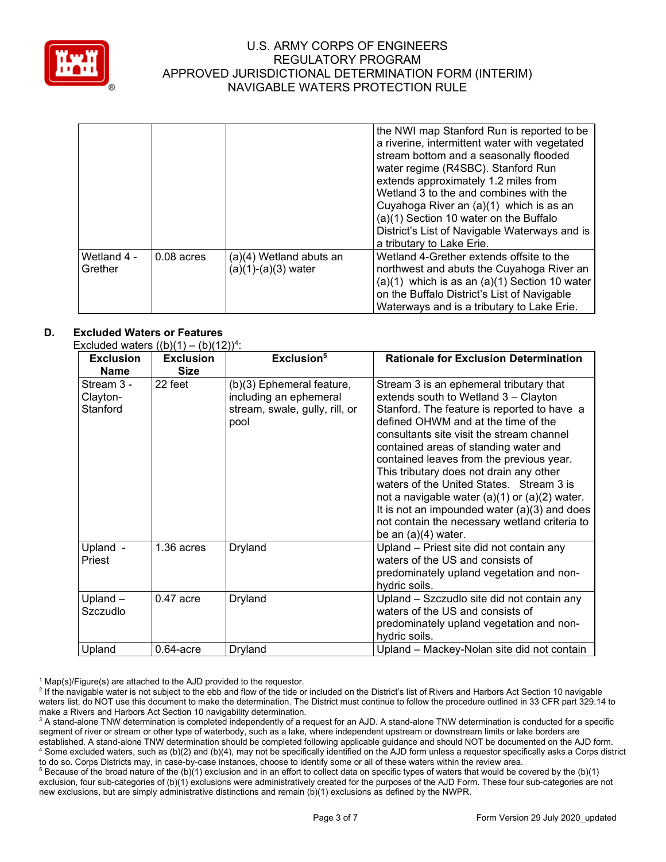

|                        |              |                                                | the NWI map Stanford Run is reported to be<br>a riverine, intermittent water with vegetated<br>stream bottom and a seasonally flooded<br>water regime (R4SBC). Stanford Run<br>extends approximately 1.2 miles from<br>Wetland 3 to the and combines with the<br>Cuyahoga River an (a)(1) which is as an<br>(a)(1) Section 10 water on the Buffalo<br>District's List of Navigable Waterways and is<br>a tributary to Lake Erie. |
|------------------------|--------------|------------------------------------------------|----------------------------------------------------------------------------------------------------------------------------------------------------------------------------------------------------------------------------------------------------------------------------------------------------------------------------------------------------------------------------------------------------------------------------------|
| Wetland 4 -<br>Grether | $0.08$ acres | (a)(4) Wetland abuts an<br>(a)(1)-(a)(3) water | Wetland 4-Grether extends offsite to the<br>northwest and abuts the Cuyahoga River an<br>$(a)(1)$ which is as an $(a)(1)$ Section 10 water<br>on the Buffalo District's List of Navigable<br>Waterways and is a tributary to Lake Erie.                                                                                                                                                                                          |

## **D. Excluded Waters or Features**

Excluded waters  $((b)(1) - (b)(12))$ <sup>4</sup>

| <b>Exclusion</b><br><b>Name</b>    | <b>Exclusion</b><br><b>Size</b> | Exclusion <sup>5</sup>                                                                        | <b>Rationale for Exclusion Determination</b>                                                                                                                                                                                                                                                                                                                                                                                                                                                                                                                                    |
|------------------------------------|---------------------------------|-----------------------------------------------------------------------------------------------|---------------------------------------------------------------------------------------------------------------------------------------------------------------------------------------------------------------------------------------------------------------------------------------------------------------------------------------------------------------------------------------------------------------------------------------------------------------------------------------------------------------------------------------------------------------------------------|
| Stream 3 -<br>Clayton-<br>Stanford | 22 feet                         | (b)(3) Ephemeral feature,<br>including an ephemeral<br>stream, swale, gully, rill, or<br>pool | Stream 3 is an ephemeral tributary that<br>extends south to Wetland 3 - Clayton<br>Stanford. The feature is reported to have a<br>defined OHWM and at the time of the<br>consultants site visit the stream channel<br>contained areas of standing water and<br>contained leaves from the previous year.<br>This tributary does not drain any other<br>waters of the United States. Stream 3 is<br>not a navigable water $(a)(1)$ or $(a)(2)$ water.<br>It is not an impounded water $(a)(3)$ and does<br>not contain the necessary wetland criteria to<br>be an $(a)(4)$ water. |
| Upland -<br>Priest                 | $1.36$ acres                    | Dryland                                                                                       | Upland - Priest site did not contain any<br>waters of the US and consists of<br>predominately upland vegetation and non-<br>hydric soils.                                                                                                                                                                                                                                                                                                                                                                                                                                       |
| Upland-<br>Szczudlo                | $0.47$ acre                     | Dryland                                                                                       | Upland - Szczudlo site did not contain any<br>waters of the US and consists of<br>predominately upland vegetation and non-<br>hydric soils.                                                                                                                                                                                                                                                                                                                                                                                                                                     |
| Upland                             | $0.64$ -acre                    | Dryland                                                                                       | Upland - Mackey-Nolan site did not contain                                                                                                                                                                                                                                                                                                                                                                                                                                                                                                                                      |

 $1$  Map(s)/Figure(s) are attached to the AJD provided to the requestor.

<sup>5</sup> Because of the broad nature of the (b)(1) exclusion and in an effort to collect data on specific types of waters that would be covered by the (b)(1) exclusion, four sub-categories of (b)(1) exclusions were administratively created for the purposes of the AJD Form. These four sub-categories are not new exclusions, but are simply administrative distinctions and remain (b)(1) exclusions as defined by the NWPR.

<sup>&</sup>lt;sup>2</sup> If the navigable water is not subject to the ebb and flow of the tide or included on the District's list of Rivers and Harbors Act Section 10 navigable waters list, do NOT use this document to make the determination. The District must continue to follow the procedure outlined in 33 CFR part 329.14 to make a Rivers and Harbors Act Section 10 navigability determination.

<sup>&</sup>lt;sup>3</sup> A stand-alone TNW determination is completed independently of a request for an AJD. A stand-alone TNW determination is conducted for a specific segment of river or stream or other type of waterbody, such as a lake, where independent upstream or downstream limits or lake borders are established. A stand-alone TNW determination should be completed following applicable guidance and should NOT be documented on the AJD form. <sup>4</sup> Some excluded waters, such as (b)(2) and (b)(4), may not be specifically identified on the AJD form unless a requestor specifically asks a Corps district to do so. Corps Districts may, in case-by-case instances, choose to identify some or all of these waters within the review area.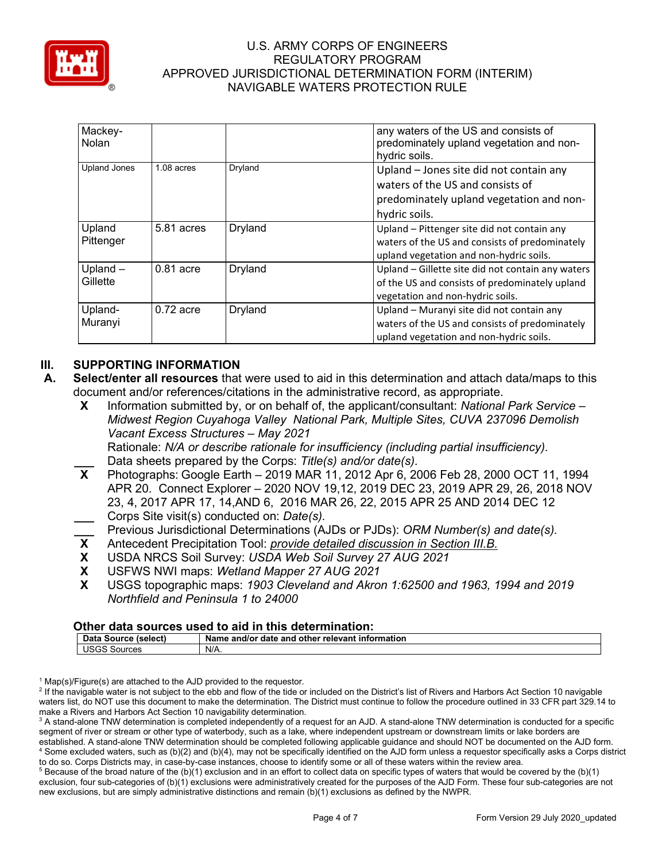

| Mackey-<br>Nolan       |             |         | any waters of the US and consists of<br>predominately upland vegetation and non-<br>hydric soils.                                        |
|------------------------|-------------|---------|------------------------------------------------------------------------------------------------------------------------------------------|
| <b>Upland Jones</b>    | 1.08 acres  | Dryland | Upland - Jones site did not contain any<br>waters of the US and consists of<br>predominately upland vegetation and non-<br>hydric soils. |
| Upland<br>Pittenger    | 5.81 acres  | Dryland | Upland - Pittenger site did not contain any<br>waters of the US and consists of predominately<br>upland vegetation and non-hydric soils. |
| Upland $-$<br>Gillette | $0.81$ acre | Dryland | Upland – Gillette site did not contain any waters<br>of the US and consists of predominately upland<br>vegetation and non-hydric soils.  |
| Upland-<br>Muranyi     | $0.72$ acre | Dryland | Upland - Muranyi site did not contain any<br>waters of the US and consists of predominately<br>upland vegetation and non-hydric soils.   |

# **III. SUPPORTING INFORMATION**

- **A. Select/enter all resources** that were used to aid in this determination and attach data/maps to this document and/or references/citations in the administrative record, as appropriate.
	- **X** Information submitted by, or on behalf of, the applicant/consultant: *National Park Service – Midwest Region Cuyahoga Valley National Park, Multiple Sites, CUVA 237096 Demolish Vacant Excess Structures – May 2021* Rationale: *N/A or describe rationale for insufficiency (including partial insufficiency).*
	- Data sheets prepared by the Corps: *Title(s) and/or date(s).*<br>**X** Photographs: Google Earth 2019 MAR 11, 2012 Apr 6, 20
	- **X** Photographs: Google Earth 2019 MAR 11, 2012 Apr 6, 2006 Feb 28, 2000 OCT 11, 1994 APR 20. Connect Explorer – 2020 NOV 19,12, 2019 DEC 23, 2019 APR 29, 26, 2018 NOV 23, 4, 2017 APR 17, 14,AND 6, 2016 MAR 26, 22, 2015 APR 25 AND 2014 DEC 12 **\_\_\_** Corps Site visit(s) conducted on: *Date(s).*
	- **\_\_\_** Previous Jurisdictional Determinations (AJDs or PJDs): *ORM Number(s) and date(s).*<br>**X** Antecedent Precipitation Tool: *provide detailed discussion in Section III.B.*
	- **X** Antecedent Precipitation Tool: *provide detailed discussion in Section III.B.*
	- **X** USDA NRCS Soil Survey: *USDA Web Soil Survey 27 AUG 2021*
	- **X** USFWS NWI maps: *Wetland Mapper 27 AUG 2021*
	- **X** USGS topographic maps: *1903 Cleveland and Akron 1:62500 and 1963, 1994 and 2019 Northfield and Peninsula 1 to 24000*

#### **Other data sources used to aid in this determination:**

| Data Source<br>Name and/or date and other relevant information<br>(select) |                   |      |  |  |  |  |
|----------------------------------------------------------------------------|-------------------|------|--|--|--|--|
|                                                                            | ' ISGS<br>Sources | N/A. |  |  |  |  |

 $1$  Map(s)/Figure(s) are attached to the AJD provided to the requestor.

<sup>&</sup>lt;sup>2</sup> If the navigable water is not subject to the ebb and flow of the tide or included on the District's list of Rivers and Harbors Act Section 10 navigable waters list, do NOT use this document to make the determination. The District must continue to follow the procedure outlined in 33 CFR part 329.14 to make a Rivers and Harbors Act Section 10 navigability determination.

<sup>&</sup>lt;sup>3</sup> A stand-alone TNW determination is completed independently of a request for an AJD. A stand-alone TNW determination is conducted for a specific segment of river or stream or other type of waterbody, such as a lake, where independent upstream or downstream limits or lake borders are established. A stand-alone TNW determination should be completed following applicable guidance and should NOT be documented on the AJD form. <sup>4</sup> Some excluded waters, such as (b)(2) and (b)(4), may not be specifically identified on the AJD form unless a requestor specifically asks a Corps district

to do so. Corps Districts may, in case-by-case instances, choose to identify some or all of these waters within the review area.  $5$  Because of the broad nature of the (b)(1) exclusion and in an effort to collect data on specific types of waters that would be covered by the (b)(1) exclusion, four sub-categories of (b)(1) exclusions were administratively created for the purposes of the AJD Form. These four sub-categories are not new exclusions, but are simply administrative distinctions and remain (b)(1) exclusions as defined by the NWPR.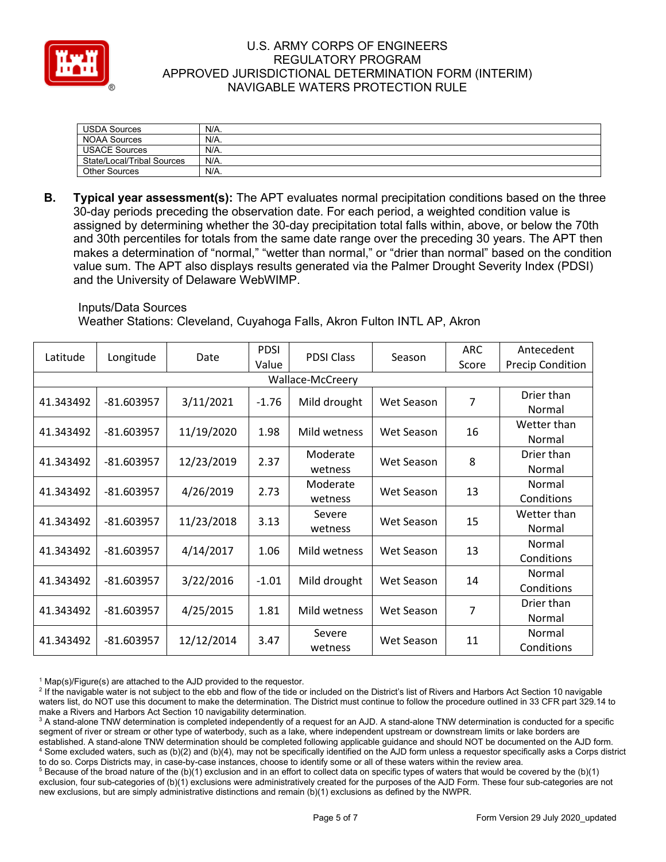

| <b>USDA Sources</b>        | N/A.    |
|----------------------------|---------|
| <b>NOAA Sources</b>        | N/A.    |
| <b>USACE Sources</b>       | N/A.    |
| State/Local/Tribal Sources | N/A.    |
| <b>Other Sources</b>       | $N/A$ . |

**B. Typical year assessment(s):** The APT evaluates normal precipitation conditions based on the three 30-day periods preceding the observation date. For each period, a weighted condition value is assigned by determining whether the 30-day precipitation total falls within, above, or below the 70th and 30th percentiles for totals from the same date range over the preceding 30 years. The APT then makes a determination of "normal," "wetter than normal," or "drier than normal" based on the condition value sum. The APT also displays results generated via the Palmer Drought Severity Index (PDSI) and the University of Delaware WebWIMP.

#### Inputs/Data Sources

Weather Stations: Cleveland, Cuyahoga Falls, Akron Fulton INTL AP, Akron

| Latitude         | Longitude    | Date       | <b>PDSI</b> | <b>PDSI Class</b> | Season     | <b>ARC</b> | Antecedent              |  |
|------------------|--------------|------------|-------------|-------------------|------------|------------|-------------------------|--|
|                  |              |            | Value       |                   |            | Score      | <b>Precip Condition</b> |  |
| Wallace-McCreery |              |            |             |                   |            |            |                         |  |
| 41.343492        | $-81.603957$ | 3/11/2021  | $-1.76$     | Mild drought      | Wet Season | 7          | Drier than              |  |
|                  |              |            |             |                   |            |            | Normal                  |  |
| 41.343492        | $-81.603957$ | 11/19/2020 | 1.98        | Mild wetness      | Wet Season | 16         | Wetter than             |  |
|                  |              |            |             |                   |            |            | Normal                  |  |
| 41.343492        | $-81.603957$ | 12/23/2019 | 2.37        | Moderate          | Wet Season | 8          | Drier than              |  |
|                  |              |            |             | wetness           |            |            | Normal                  |  |
| 41.343492        | $-81.603957$ | 4/26/2019  | 2.73        | Moderate          | Wet Season | 13         | Normal                  |  |
|                  |              |            |             | wetness           |            |            | Conditions              |  |
| 41.343492        | $-81.603957$ | 11/23/2018 | 3.13        | Severe            | Wet Season |            | Wetter than             |  |
|                  |              |            |             | wetness           |            | 15         | Normal                  |  |
| 41.343492        | $-81.603957$ | 4/14/2017  | 1.06        | Mild wetness      | Wet Season | 13         | Normal                  |  |
|                  |              |            |             |                   |            |            | Conditions              |  |
| 41.343492        | $-81.603957$ | 3/22/2016  | $-1.01$     | Mild drought      | Wet Season | 14         | Normal                  |  |
|                  |              |            |             |                   |            |            | Conditions              |  |
| 41.343492        | $-81.603957$ | 4/25/2015  | 1.81        | Mild wetness      | Wet Season | 7          | Drier than              |  |
|                  |              |            |             |                   |            |            | Normal                  |  |
| 41.343492        |              |            | Severe      | Wet Season        |            | Normal     |                         |  |
|                  | $-81.603957$ | 12/12/2014 | 3.47        | wetness           |            | 11         | Conditions              |  |

 $1$  Map(s)/Figure(s) are attached to the AJD provided to the requestor.

<sup>&</sup>lt;sup>2</sup> If the navigable water is not subject to the ebb and flow of the tide or included on the District's list of Rivers and Harbors Act Section 10 navigable waters list, do NOT use this document to make the determination. The District must continue to follow the procedure outlined in 33 CFR part 329.14 to make a Rivers and Harbors Act Section 10 navigability determination.

<sup>&</sup>lt;sup>3</sup> A stand-alone TNW determination is completed independently of a request for an AJD. A stand-alone TNW determination is conducted for a specific segment of river or stream or other type of waterbody, such as a lake, where independent upstream or downstream limits or lake borders are established. A stand-alone TNW determination should be completed following applicable guidance and should NOT be documented on the AJD form. <sup>4</sup> Some excluded waters, such as (b)(2) and (b)(4), may not be specifically identified on the AJD form unless a requestor specifically asks a Corps district to do so. Corps Districts may, in case-by-case instances, choose to identify some or all of these waters within the review area.

 $5$  Because of the broad nature of the (b)(1) exclusion and in an effort to collect data on specific types of waters that would be covered by the (b)(1) exclusion, four sub-categories of (b)(1) exclusions were administratively created for the purposes of the AJD Form. These four sub-categories are not new exclusions, but are simply administrative distinctions and remain (b)(1) exclusions as defined by the NWPR.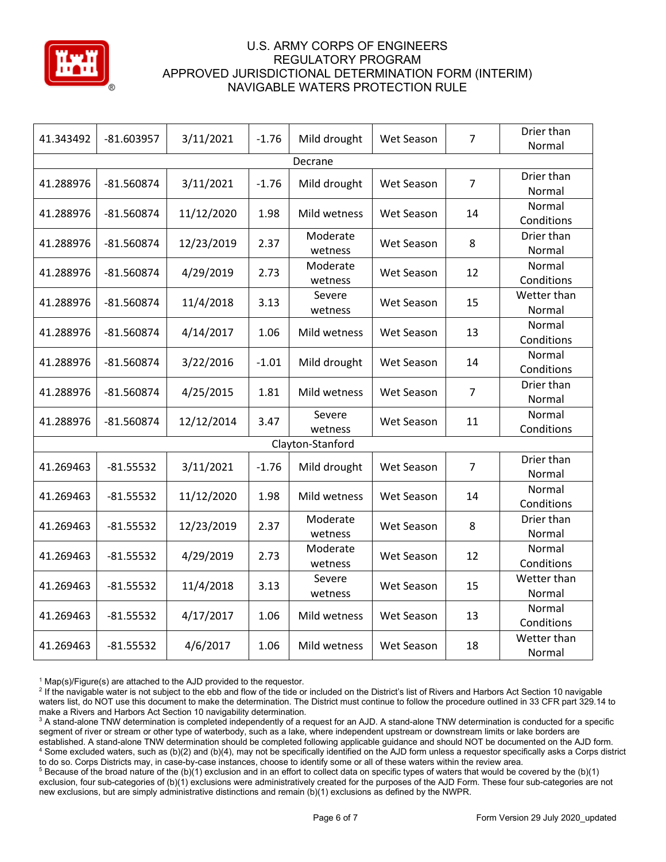

| 41.343492        | $-81.603957$ | 3/11/2021  | $-1.76$ | Mild drought        | Wet Season | $\overline{7}$ | Drier than<br>Normal  |  |  |  |  |
|------------------|--------------|------------|---------|---------------------|------------|----------------|-----------------------|--|--|--|--|
| Decrane          |              |            |         |                     |            |                |                       |  |  |  |  |
| 41.288976        | $-81.560874$ | 3/11/2021  | $-1.76$ | Mild drought        | Wet Season | $\overline{7}$ | Drier than<br>Normal  |  |  |  |  |
| 41.288976        | $-81.560874$ | 11/12/2020 | 1.98    | Mild wetness        | Wet Season | 14             | Normal<br>Conditions  |  |  |  |  |
| 41.288976        | $-81.560874$ | 12/23/2019 | 2.37    | Moderate<br>wetness | Wet Season | 8              | Drier than<br>Normal  |  |  |  |  |
| 41.288976        | $-81.560874$ | 4/29/2019  | 2.73    | Moderate<br>wetness | Wet Season | 12             | Normal<br>Conditions  |  |  |  |  |
| 41.288976        | $-81.560874$ | 11/4/2018  | 3.13    | Severe<br>wetness   | Wet Season | 15             | Wetter than<br>Normal |  |  |  |  |
| 41.288976        | $-81.560874$ | 4/14/2017  | 1.06    | Mild wetness        | Wet Season | 13             | Normal<br>Conditions  |  |  |  |  |
| 41.288976        | $-81.560874$ | 3/22/2016  | $-1.01$ | Mild drought        | Wet Season | 14             | Normal<br>Conditions  |  |  |  |  |
| 41.288976        | $-81.560874$ | 4/25/2015  | 1.81    | Mild wetness        | Wet Season | $\overline{7}$ | Drier than<br>Normal  |  |  |  |  |
| 41.288976        | $-81.560874$ | 12/12/2014 | 3.47    | Severe<br>wetness   | Wet Season | 11             | Normal<br>Conditions  |  |  |  |  |
| Clayton-Stanford |              |            |         |                     |            |                |                       |  |  |  |  |
| 41.269463        | $-81.55532$  | 3/11/2021  | $-1.76$ | Mild drought        | Wet Season | $\overline{7}$ | Drier than<br>Normal  |  |  |  |  |
| 41.269463        | $-81.55532$  | 11/12/2020 | 1.98    | Mild wetness        | Wet Season | 14             | Normal<br>Conditions  |  |  |  |  |
| 41.269463        | $-81.55532$  | 12/23/2019 | 2.37    | Moderate<br>wetness | Wet Season | 8              | Drier than<br>Normal  |  |  |  |  |
| 41.269463        | $-81.55532$  | 4/29/2019  | 2.73    | Moderate<br>wetness | Wet Season | 12             | Normal<br>Conditions  |  |  |  |  |
| 41.269463        | $-81.55532$  | 11/4/2018  | 3.13    | Severe<br>wetness   | Wet Season | 15             | Wetter than<br>Normal |  |  |  |  |
| 41.269463        | $-81.55532$  | 4/17/2017  | 1.06    | Mild wetness        | Wet Season | 13             | Normal<br>Conditions  |  |  |  |  |
| 41.269463        | $-81.55532$  | 4/6/2017   | 1.06    | Mild wetness        | Wet Season | 18             | Wetter than<br>Normal |  |  |  |  |

 $1$  Map(s)/Figure(s) are attached to the AJD provided to the requestor.

<sup>2</sup> If the navigable water is not subject to the ebb and flow of the tide or included on the District's list of Rivers and Harbors Act Section 10 navigable waters list, do NOT use this document to make the determination. The District must continue to follow the procedure outlined in 33 CFR part 329.14 to make a Rivers and Harbors Act Section 10 navigability determination.

<sup>3</sup> A stand-alone TNW determination is completed independently of a request for an AJD. A stand-alone TNW determination is conducted for a specific segment of river or stream or other type of waterbody, such as a lake, where independent upstream or downstream limits or lake borders are established. A stand-alone TNW determination should be completed following applicable guidance and should NOT be documented on the AJD form. <sup>4</sup> Some excluded waters, such as (b)(2) and (b)(4), may not be specifically identified on the AJD form unless a requestor specifically asks a Corps district to do so. Corps Districts may, in case-by-case instances, choose to identify some or all of these waters within the review area.

<sup>5</sup> Because of the broad nature of the (b)(1) exclusion and in an effort to collect data on specific types of waters that would be covered by the (b)(1) exclusion, four sub-categories of (b)(1) exclusions were administratively created for the purposes of the AJD Form. These four sub-categories are not new exclusions, but are simply administrative distinctions and remain (b)(1) exclusions as defined by the NWPR.